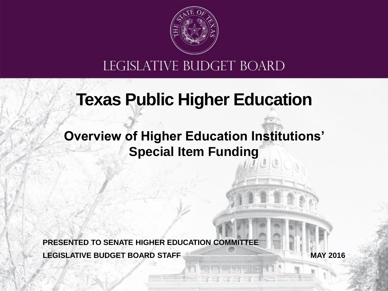

#### LEGISLATIVE BUDGET BOARD

### **Texas Public Higher Education**

#### **Overview of Higher Education Institutions' Special Item Funding**

**LEGISLATIVE BUDGET BOARD STAFF PRESENTED TO SENATE HIGHER EDUCATION COMMITTEE**

**MAY 2016**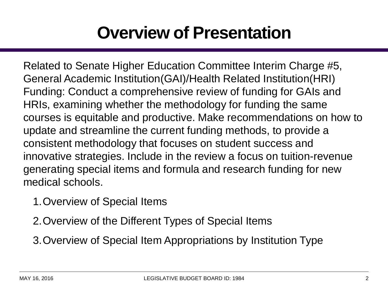### **Overview of Presentation**

Related to Senate Higher Education Committee Interim Charge #5, General Academic Institution(GAI)/Health Related Institution(HRI) Funding: Conduct a comprehensive review of funding for GAIs and HRIs, examining whether the methodology for funding the same courses is equitable and productive. Make recommendations on how to update and streamline the current funding methods, to provide a consistent methodology that focuses on student success and innovative strategies. Include in the review a focus on tuition-revenue generating special items and formula and research funding for new medical schools.

- 1.Overview of Special Items
- 2.Overview of the Different Types of Special Items
- 3.Overview of Special Item Appropriations by Institution Type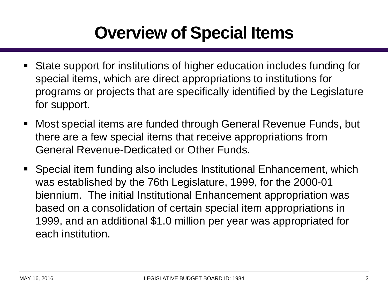# **Overview of Special Items**

- State support for institutions of higher education includes funding for special items, which are direct appropriations to institutions for programs or projects that are specifically identified by the Legislature for support.
- Most special items are funded through General Revenue Funds, but there are a few special items that receive appropriations from General Revenue-Dedicated or Other Funds.
- Special item funding also includes Institutional Enhancement, which was established by the 76th Legislature, 1999, for the 2000-01 biennium. The initial Institutional Enhancement appropriation was based on a consolidation of certain special item appropriations in 1999, and an additional \$1.0 million per year was appropriated for each institution.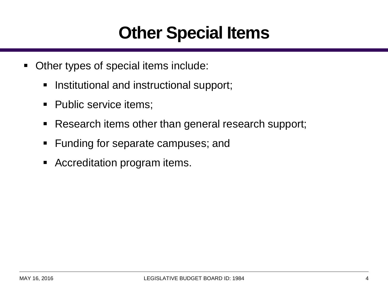## **Other Special Items**

- Other types of special items include:
	- **Institutional and instructional support;**
	- Public service items;
	- **Research items other than general research support;**
	- **Funding for separate campuses; and**
	- **EX Accreditation program items.**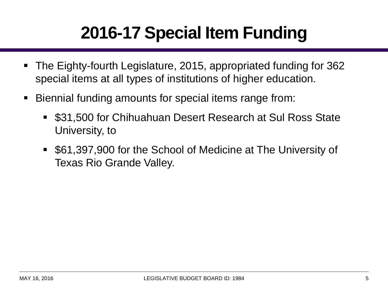# **2016-17 Special Item Funding**

- The Eighty-fourth Legislature, 2015, appropriated funding for 362 special items at all types of institutions of higher education.
- Biennial funding amounts for special items range from:
	- \$31,500 for Chihuahuan Desert Research at Sul Ross State University, to
	- \$61,397,900 for the School of Medicine at The University of Texas Rio Grande Valley.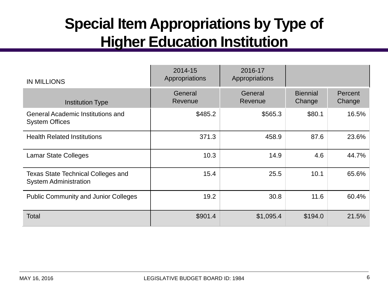#### **Special Item Appropriations by Type of Higher Education Institution**

| <b>IN MILLIONS</b>                                                        | 2014-15<br>Appropriations | 2016-17<br>Appropriations |                           |                   |
|---------------------------------------------------------------------------|---------------------------|---------------------------|---------------------------|-------------------|
| <b>Institution Type</b>                                                   | General<br>Revenue        | General<br>Revenue        | <b>Biennial</b><br>Change | Percent<br>Change |
| <b>General Academic Institutions and</b><br><b>System Offices</b>         | \$485.2                   | \$565.3                   | \$80.1                    | 16.5%             |
| <b>Health Related Institutions</b>                                        | 371.3                     | 458.9                     | 87.6                      | 23.6%             |
| <b>Lamar State Colleges</b>                                               | 10.3                      | 14.9                      | 4.6                       | 44.7%             |
| <b>Texas State Technical Colleges and</b><br><b>System Administration</b> | 15.4                      | 25.5                      | 10.1                      | 65.6%             |
| <b>Public Community and Junior Colleges</b>                               | 19.2                      | 30.8                      | 11.6                      | 60.4%             |
| Total                                                                     | \$901.4                   | \$1,095.4                 | \$194.0                   | 21.5%             |